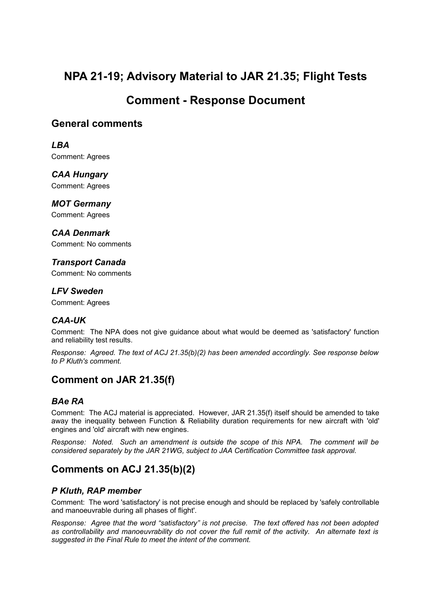# **NPA 21-19; Advisory Material to JAR 21.35; Flight Tests**

# **Comment - Response Document**

### **General comments**

*LBA* Comment: Agrees

*CAA Hungary* Comment: Agrees

*MOT Germany* Comment: Agrees

*CAA Denmark* Comment: No comments

*Transport Canada* Comment: No comments

*LFV Sweden* Comment: Agrees

### *CAA-UK*

Comment: The NPA does not give guidance about what would be deemed as 'satisfactory' function and reliability test results.

*Response: Agreed. The text of ACJ 21.35(b)(2) has been amended accordingly. See response below to P Kluth's comment.*

## **Comment on JAR 21.35(f)**

### *BAe RA*

Comment: The ACJ material is appreciated. However, JAR 21.35(f) itself should be amended to take away the inequality between Function & Reliability duration requirements for new aircraft with 'old' engines and 'old' aircraft with new engines.

*Response: Noted. Such an amendment is outside the scope of this NPA. The comment will be considered separately by the JAR 21WG, subject to JAA Certification Committee task approval.*

## **Comments on ACJ 21.35(b)(2)**

### *P Kluth, RAP member*

Comment: The word 'satisfactory' is not precise enough and should be replaced by 'safely controllable and manoeuvrable during all phases of flight'.

*Response: Agree that the word "satisfactory" is not precise. The text offered has not been adopted as controllability and manoeuvrability do not cover the full remit of the activity. An alternate text is suggested in the Final Rule to meet the intent of the comment.*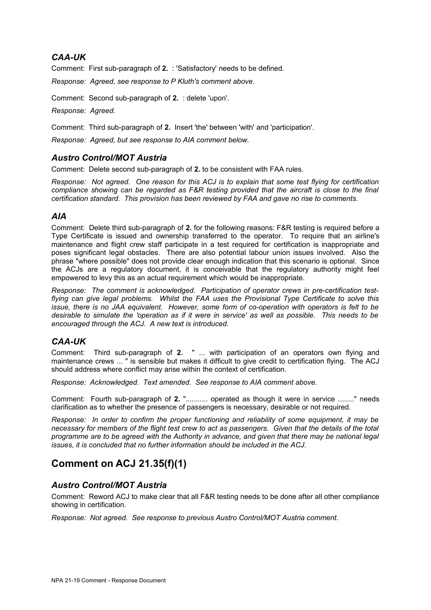#### *CAA-UK*

Comment: First sub-paragraph of **2.** : 'Satisfactory' needs to be defined.

*Response: Agreed, see response to P Kluth's comment above.*

Comment: Second sub-paragraph of **2.** : delete 'upon'.

*Response: Agreed.*

Comment: Third sub-paragraph of **2.** Insert 'the' between 'with' and 'participation'.

*Response: Agreed, but see response to AIA comment below.*

#### *Austro Control/MOT Austria*

Comment: Delete second sub-paragraph of **2.** to be consistent with FAA rules.

*Response: Not agreed. One reason for this ACJ is to explain that some test flying for certification compliance showing can be regarded as F&R testing provided that the aircraft is close to the final certification standard. This provision has been reviewed by FAA and gave no rise to comments.*

#### *AIA*

Comment: Delete third sub-paragraph of **2.** for the following reasons: F&R testing is required before a Type Certificate is issued and ownership transferred to the operator. To require that an airline's maintenance and flight crew staff participate in a test required for certification is inappropriate and poses significant legal obstacles. There are also potential labour union issues involved. Also the phrase "where possible" does not provide clear enough indication that this scenario is optional. Since the ACJs are a regulatory document, it is conceivable that the regulatory authority might feel empowered to levy this as an actual requirement which would be inappropriate.

*Response: The comment is acknowledged. Participation of operator crews in pre-certification testflying can give legal problems. Whilst the FAA uses the Provisional Type Certificate to solve this issue, there is no JAA equivalent. However, some form of co-operation with operators is felt to be desirable to simulate the 'operation as if it were in service' as well as possible. This needs to be encouraged through the ACJ. A new text is introduced.*

#### *CAA-UK*

Comment: Third sub-paragraph of **2.** " ... with participation of an operators own flying and maintenance crews ... " is sensible but makes it difficult to give credit to certification flying. The ACJ should address where conflict may arise within the context of certification.

*Response: Acknowledged. Text amended. See response to AIA comment above.*

Comment: Fourth sub-paragraph of **2.** "........... operated as though it were in service ........" needs clarification as to whether the presence of passengers is necessary, desirable or not required.

*Response: In order to confirm the proper functioning and reliability of some equipment, it may be necessary for members of the flight test crew to act as passengers. Given that the details of the total programme are to be agreed with the Authority in advance, and given that there may be national legal issues, it is concluded that no further information should be included in the ACJ.*

### **Comment on ACJ 21.35(f)(1)**

#### *Austro Control/MOT Austria*

Comment: Reword ACJ to make clear that all F&R testing needs to be done after all other compliance showing in certification.

*Response: Not agreed. See response to previous Austro Control/MOT Austria comment.*